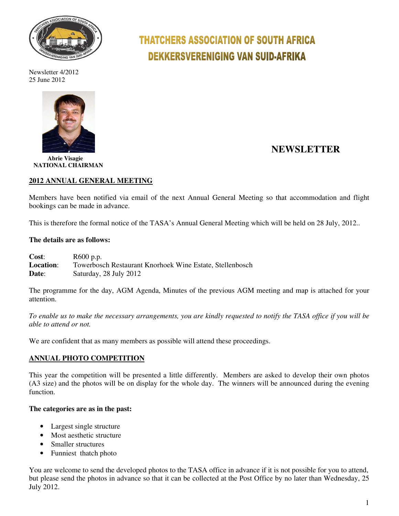

Newsletter 4/2012 25 June 2012



 **Abrie Visagie NATIONAL CHAIRMAN** 

## **THATCHERS ASSOCIATION OF SOUTH AFRICA DEKKERSVERENIGING VAN SUID-AFRIKA**

## **NEWSLETTER**

## **2012 ANNUAL GENERAL MEETING**

Members have been notified via email of the next Annual General Meeting so that accommodation and flight bookings can be made in advance.

This is therefore the formal notice of the TASA's Annual General Meeting which will be held on 28 July, 2012..

### **The details are as follows:**

| Cost:            | R600 p.p.                                                |
|------------------|----------------------------------------------------------|
| <b>Location:</b> | Towerbosch Restaurant Knorhoek Wine Estate, Stellenbosch |
| Date:            | Saturday, 28 July 2012                                   |

The programme for the day, AGM Agenda, Minutes of the previous AGM meeting and map is attached for your attention.

*To enable us to make the necessary arrangements, you are kindly requested to notify the TASA office if you will be able to attend or not.*

We are confident that as many members as possible will attend these proceedings.

## **ANNUAL PHOTO COMPETITION**

This year the competition will be presented a little differently. Members are asked to develop their own photos (A3 size) and the photos will be on display for the whole day. The winners will be announced during the evening function.

### **The categories are as in the past:**

- Largest single structure
- Most aesthetic structure
- Smaller structures
- Funniest thatch photo

You are welcome to send the developed photos to the TASA office in advance if it is not possible for you to attend, but please send the photos in advance so that it can be collected at the Post Office by no later than Wednesday, 25 July 2012.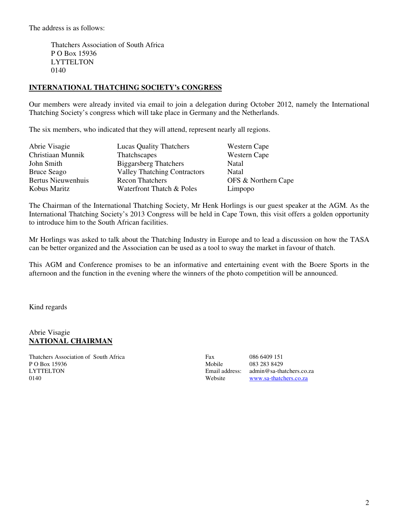The address is as follows:

 Thatchers Association of South Africa P O Box 15936 **LYTTELTON** 0140

### **INTERNATIONAL THATCHING SOCIETY's CONGRESS**

Our members were already invited via email to join a delegation during October 2012, namely the International Thatching Society's congress which will take place in Germany and the Netherlands.

The six members, who indicated that they will attend, represent nearly all regions.

| Abrie Visagie             | <b>Lucas Quality Thatchers</b>      | Western Cape        |
|---------------------------|-------------------------------------|---------------------|
| Christiaan Munnik         | Thatchscapes                        | Western Cape        |
| John Smith                | <b>Biggarsberg Thatchers</b>        | Natal               |
| <b>Bruce Seago</b>        | <b>Valley Thatching Contractors</b> | Natal               |
| <b>Bertus Nieuwenhuis</b> | <b>Recon Thatchers</b>              | OFS & Northern Cape |
| Kobus Maritz              | Waterfront Thatch & Poles           | Limpopo             |

The Chairman of the International Thatching Society, Mr Henk Horlings is our guest speaker at the AGM. As the International Thatching Society's 2013 Congress will be held in Cape Town, this visit offers a golden opportunity to introduce him to the South African facilities.

Mr Horlings was asked to talk about the Thatching Industry in Europe and to lead a discussion on how the TASA can be better organized and the Association can be used as a tool to sway the market in favour of thatch.

This AGM and Conference promises to be an informative and entertaining event with the Boere Sports in the afternoon and the function in the evening where the winners of the photo competition will be announced.

Kind regards

Abrie Visagie **NATIONAL CHAIRMAN**

Thatchers Association of South Africa Fax 686 6409 151 P O Box 15936 Mobile 083 283 8429 LYTTELTON Email address: admin@sa-thatchers.co.za 0140 Website www.sa-thatchers.co.za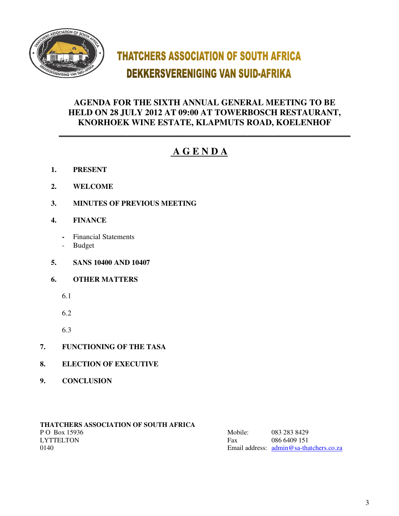

## **THATCHERS ASSOCIATION OF SOUTH AFRICA DEKKERSVERENIGING VAN SUID-AFRIKA**

## **AGENDA FOR THE SIXTH ANNUAL GENERAL MEETING TO BE HELD ON 28 JULY 2012 AT 09:00 AT TOWERBOSCH RESTAURANT, KNORHOEK WINE ESTATE, KLAPMUTS ROAD, KOELENHOF**

**\_\_\_\_\_\_\_\_\_\_\_\_\_\_\_\_\_\_\_\_\_\_\_\_\_\_\_\_\_\_\_\_\_\_\_\_\_\_\_\_\_\_\_\_\_\_\_\_\_\_\_\_\_\_\_\_\_\_\_\_\_\_\_\_\_\_\_\_**

## **A G E N D A**

- **1. PRESENT**
- **2. WELCOME**
- **3. MINUTES OF PREVIOUS MEETING**
- **4. FINANCE** 
	- Financial Statements
	- Budget
- **5. SANS 10400 AND 10407**
- **6. OTHER MATTERS** 
	- 6.1
	- 6.2
	- 6.3
- **7. FUNCTIONING OF THE TASA**
- **8. ELECTION OF EXECUTIVE**
- **9. CONCLUSION**

### **THATCHERS ASSOCIATION OF SOUTH AFRICA**

| P O Box 15936    | Mobile: | 083 283 8429                                    |
|------------------|---------|-------------------------------------------------|
| <b>LYTTELTON</b> | Fax     | 086 6409 151                                    |
| 0140             |         | Email address: $\alpha$ dmin@sa-thatchers.co.za |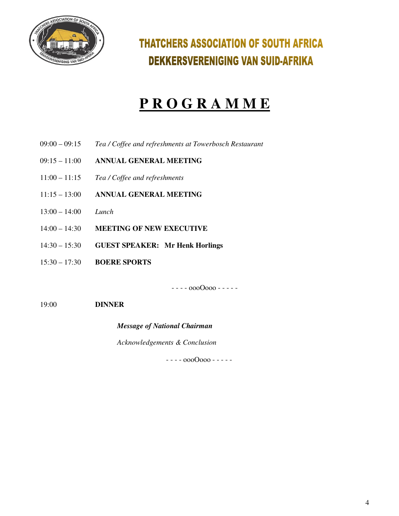

## **THATCHERS ASSOCIATION OF SOUTH AFRICA DEKKERSVERENIGING VAN SUID-AFRIKA**

# **P R O G R A M M E**

- 09:00 09:15 *Tea / Coffee and refreshments at Towerbosch Restaurant*
- 09:15 11:00 **ANNUAL GENERAL MEETING**
- 11:00 11:15 *Tea / Coffee and refreshments*
- 11:15 13:00 **ANNUAL GENERAL MEETING**
- 13:00 14:00 *Lunch*
- 14:00 14:30 **MEETING OF NEW EXECUTIVE**
- 14:30 15:30 **GUEST SPEAKER: Mr Henk Horlings**
- 15:30 17:30 **BOERE SPORTS**

- - - - oooOooo - - - - -

19:00 **DINNER** 

#### *Message of National Chairman*

*Acknowledgements & Conclusion* 

 $--- 0000000---$